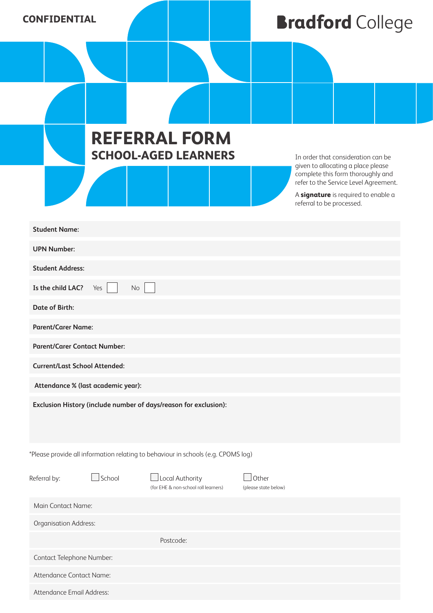| <b>CONFIDENTIAL</b> |
|---------------------|
|---------------------|

## **Bradford** College

|                                                                                   |               | <b>REFERRAL FORM</b><br><b>SCHOOL-AGED LEARNERS</b>     |  |                               | referral to be processed. | In order that consideration can be<br>given to allocating a place please<br>complete this form thoroughly and<br>refer to the Service Level Agreement.<br>A signature is required to enable a |  |  |  |  |
|-----------------------------------------------------------------------------------|---------------|---------------------------------------------------------|--|-------------------------------|---------------------------|-----------------------------------------------------------------------------------------------------------------------------------------------------------------------------------------------|--|--|--|--|
| <b>Student Name:</b>                                                              |               |                                                         |  |                               |                           |                                                                                                                                                                                               |  |  |  |  |
| <b>UPN Number:</b>                                                                |               |                                                         |  |                               |                           |                                                                                                                                                                                               |  |  |  |  |
| <b>Student Address:</b>                                                           |               |                                                         |  |                               |                           |                                                                                                                                                                                               |  |  |  |  |
| Is the child LAC?<br>Yes<br>No                                                    |               |                                                         |  |                               |                           |                                                                                                                                                                                               |  |  |  |  |
| <b>Date of Birth:</b>                                                             |               |                                                         |  |                               |                           |                                                                                                                                                                                               |  |  |  |  |
| <b>Parent/Carer Name:</b>                                                         |               |                                                         |  |                               |                           |                                                                                                                                                                                               |  |  |  |  |
| <b>Parent/Carer Contact Number:</b>                                               |               |                                                         |  |                               |                           |                                                                                                                                                                                               |  |  |  |  |
| <b>Current/Last School Attended:</b>                                              |               |                                                         |  |                               |                           |                                                                                                                                                                                               |  |  |  |  |
| Attendance % (last academic year):                                                |               |                                                         |  |                               |                           |                                                                                                                                                                                               |  |  |  |  |
| Exclusion History (include number of days/reason for exclusion):                  |               |                                                         |  |                               |                           |                                                                                                                                                                                               |  |  |  |  |
| *Please provide all information relating to behaviour in schools (e.g. CPOMS log) |               |                                                         |  |                               |                           |                                                                                                                                                                                               |  |  |  |  |
| Referral by:                                                                      | $\Box$ School | Local Authority<br>(for EHE & non-school roll learners) |  | Other<br>(please state below) |                           |                                                                                                                                                                                               |  |  |  |  |
| Main Contact Name:                                                                |               |                                                         |  |                               |                           |                                                                                                                                                                                               |  |  |  |  |
| Organisation Address:                                                             |               |                                                         |  |                               |                           |                                                                                                                                                                                               |  |  |  |  |
|                                                                                   |               | Postcode:                                               |  |                               |                           |                                                                                                                                                                                               |  |  |  |  |
| Contact Telephone Number:                                                         |               |                                                         |  |                               |                           |                                                                                                                                                                                               |  |  |  |  |
| Attendance Contact Name:                                                          |               |                                                         |  |                               |                           |                                                                                                                                                                                               |  |  |  |  |
| Attendance Email Address:                                                         |               |                                                         |  |                               |                           |                                                                                                                                                                                               |  |  |  |  |